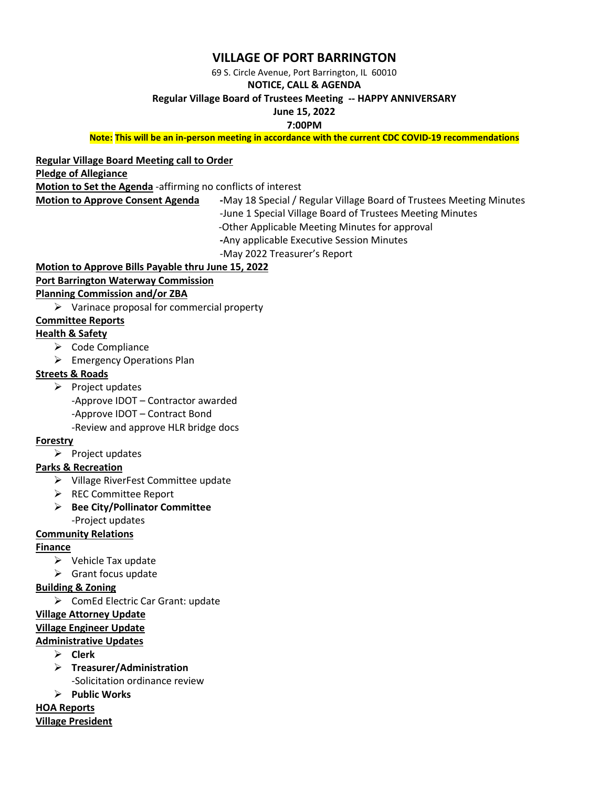# **VILLAGE OF PORT BARRINGTON**

69 S. Circle Avenue, Port Barrington, IL 60010

### **NOTICE, CALL & AGENDA**

#### **Regular Village Board of Trustees Meeting -- HAPPY ANNIVERSARY**

## **June 15, 2022**

**7:00PM** 

**Note: This will be an in-person meeting in accordance with the current CDC COVID-19 recommendations**

# **Regular Village Board Meeting call to Order**

**Pledge of Allegiance**

**Motion to Set the Agenda** -affirming no conflicts of interest

**Motion to Approve Consent Agenda -**May 18 Special / Regular Village Board of Trustees Meeting Minutes -June 1 Special Village Board of Trustees Meeting Minutes -Other Applicable Meeting Minutes for approval **-**Any applicable Executive Session Minutes

-May 2022 Treasurer's Report

# **Motion to Approve Bills Payable thru June 15, 2022 Port Barrington Waterway Commission**

# **Planning Commission and/or ZBA**

 $\triangleright$  Varinace proposal for commercial property

### **Committee Reports**

### **Health & Safety**

- ➢ Code Compliance
- ➢ Emergency Operations Plan

#### **Streets & Roads**

➢ Project updates

-Approve IDOT – Contractor awarded

-Approve IDOT – Contract Bond

-Review and approve HLR bridge docs

#### **Forestry**

➢ Project updates

#### **Parks & Recreation**

- ➢ Village RiverFest Committee update
- ➢ REC Committee Report
- ➢ **Bee City/Pollinator Committee** -Project updates

## **Community Relations**

## **Finance**

- ➢ Vehicle Tax update
- $\triangleright$  Grant focus update

## **Building & Zoning**

➢ ComEd Electric Car Grant: update

#### **Village Attorney Update**

#### **Village Engineer Update**

## **Administrative Updates**

- ➢ **Clerk**
- ➢ **Treasurer/Administration** -Solicitation ordinance review
- ➢ **Public Works**

**HOA Reports Village President**